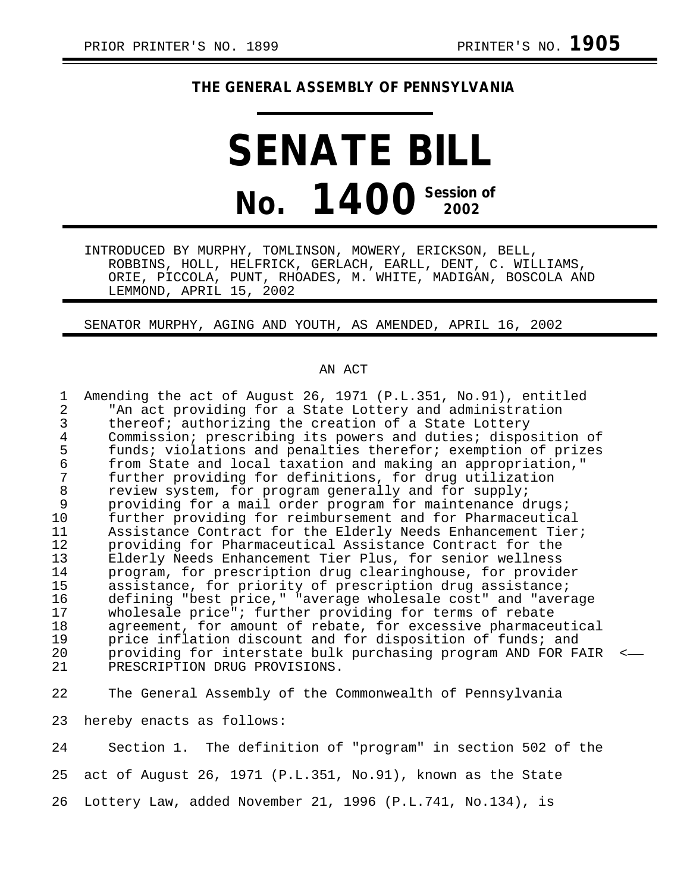## **THE GENERAL ASSEMBLY OF PENNSYLVANIA**

## **SENATE BILL No. 1400 Session of 2002**

INTRODUCED BY MURPHY, TOMLINSON, MOWERY, ERICKSON, BELL, ROBBINS, HOLL, HELFRICK, GERLACH, EARLL, DENT, C. WILLIAMS, ORIE, PICCOLA, PUNT, RHOADES, M. WHITE, MADIGAN, BOSCOLA AND LEMMOND, APRIL 15, 2002

SENATOR MURPHY, AGING AND YOUTH, AS AMENDED, APRIL 16, 2002

## AN ACT

1 Amending the act of August 26, 1971 (P.L.351, No.91), entitled<br>2 TAn act providing for a State Lottery and administration 2 The act providing for a State Lottery and administration<br>3 thereof; authorizing the creation of a State Lottery thereof; authorizing the creation of a State Lottery 4 Commission; prescribing its powers and duties; disposition of<br>5 funds; violations and penalties therefor; exemption of prizes 5 funds; violations and penalties therefor; exemption of prizes<br>6 from State and local taxation and making an appropriation." 6 from State and local taxation and making an appropriation," 7 further providing for definitions, for drug utilization<br>8 review system, for program generally and for supply; 8 review system, for program generally and for supply;<br>9 providing for a mail order program for maintenance d 9 providing for a mail order program for maintenance drugs;<br>10 further providing for reimbursement and for Pharmaceutica 10 further providing for reimbursement and for Pharmaceutical 11 Assistance Contract for the Elderly Needs Enhancement Tier;<br>12 providing for Pharmaceutical Assistance Contract for the 12 providing for Pharmaceutical Assistance Contract for the<br>13 Elderly Needs Enhancement Tier Plus, for senior wellness 13 Elderly Needs Enhancement Tier Plus, for senior wellness<br>14 Drogram, for prescription drug clearinghouse, for provid 14 program, for prescription drug clearinghouse, for provider assistance, for priority of prescription drug assistance; 16 defining "best price," "average wholesale cost" and "average<br>17 wholesale price"; further providing for terms of rebate 17 wholesale price"; further providing for terms of rebate<br>18 agreement, for amount of rebate, for excessive pharmace 18 agreement, for amount of rebate, for excessive pharmaceutical<br>19 price inflation discount and for disposition of funds; and 19 price inflation discount and for disposition of funds; and<br>20 providing for interstate bulk purchasing program AND FOR F 20 providing for interstate bulk purchasing program AND FOR FAIR < PRESCRIPTION DRUG PROVISIONS.

22 The General Assembly of the Commonwealth of Pennsylvania

23 hereby enacts as follows:

24 Section 1. The definition of "program" in section 502 of the 25 act of August 26, 1971 (P.L.351, No.91), known as the State 26 Lottery Law, added November 21, 1996 (P.L.741, No.134), is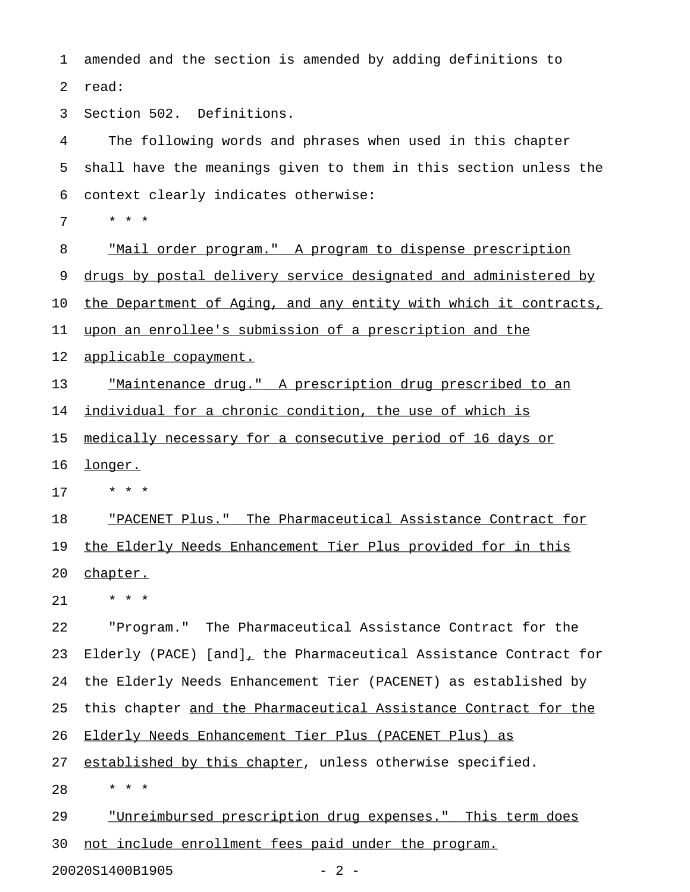1 amended and the section is amended by adding definitions to 2 read:

3 Section 502. Definitions.

4 The following words and phrases when used in this chapter 5 shall have the meanings given to them in this section unless the 6 context clearly indicates otherwise:

7 \* \* \*

8 "Mail order program." A program to dispense prescription 9 drugs by postal delivery service designated and administered by 10 the Department of Aging, and any entity with which it contracts, 11 upon an enrollee's submission of a prescription and the 12 applicable copayment.

13 Thaintenance drug." A prescription drug prescribed to an 14 individual for a chronic condition, the use of which is

15 medically necessary for a consecutive period of 16 days or

16 longer.

17 \* \* \*

18 "PACENET Plus." The Pharmaceutical Assistance Contract for 19 the Elderly Needs Enhancement Tier Plus provided for in this 20 chapter.

21 \* \* \*

22 "Program." The Pharmaceutical Assistance Contract for the 23 Elderly (PACE) [and], the Pharmaceutical Assistance Contract for 24 the Elderly Needs Enhancement Tier (PACENET) as established by 25 this chapter and the Pharmaceutical Assistance Contract for the 26 Elderly Needs Enhancement Tier Plus (PACENET Plus) as 27 established by this chapter, unless otherwise specified.

28 \* \* \*

29 "Unreimbursed prescription drug expenses." This term does 30 not include enrollment fees paid under the program.

20020S1400B1905 - 2 -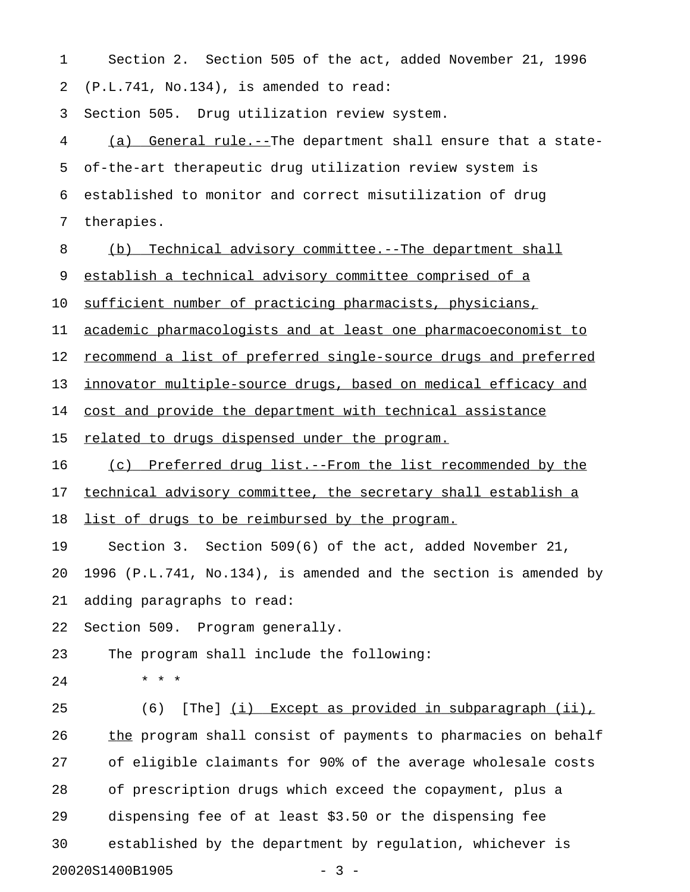1 Section 2. Section 505 of the act, added November 21, 1996 2 (P.L.741, No.134), is amended to read:

3 Section 505. Drug utilization review system.

4 (a) General rule.--The department shall ensure that a state-5 of-the-art therapeutic drug utilization review system is 6 established to monitor and correct misutilization of drug 7 therapies.

8 (b) Technical advisory committee.--The department shall

9 establish a technical advisory committee comprised of a

10 sufficient number of practicing pharmacists, physicians,

11 academic pharmacologists and at least one pharmacoeconomist to

12 <u>recommend a list of preferred single-source drugs and preferred</u>

13 innovator multiple-source drugs, based on medical efficacy and

14 cost and provide the department with technical assistance

15 related to drugs dispensed under the program.

16 (c) Preferred drug list.--From the list recommended by the

17 technical advisory committee, the secretary shall establish a

18 list of drugs to be reimbursed by the program.

19 Section 3. Section 509(6) of the act, added November 21,

20 1996 (P.L.741, No.134), is amended and the section is amended by 21 adding paragraphs to read:

22 Section 509. Program generally.

23 The program shall include the following:

- 
- 24 \* \* \*

25 (6) [The] (i) Except as provided in subparagraph (ii), 26 the program shall consist of payments to pharmacies on behalf 27 of eligible claimants for 90% of the average wholesale costs 28 of prescription drugs which exceed the copayment, plus a 29 dispensing fee of at least \$3.50 or the dispensing fee 30 established by the department by regulation, whichever is 20020S1400B1905 - 3 -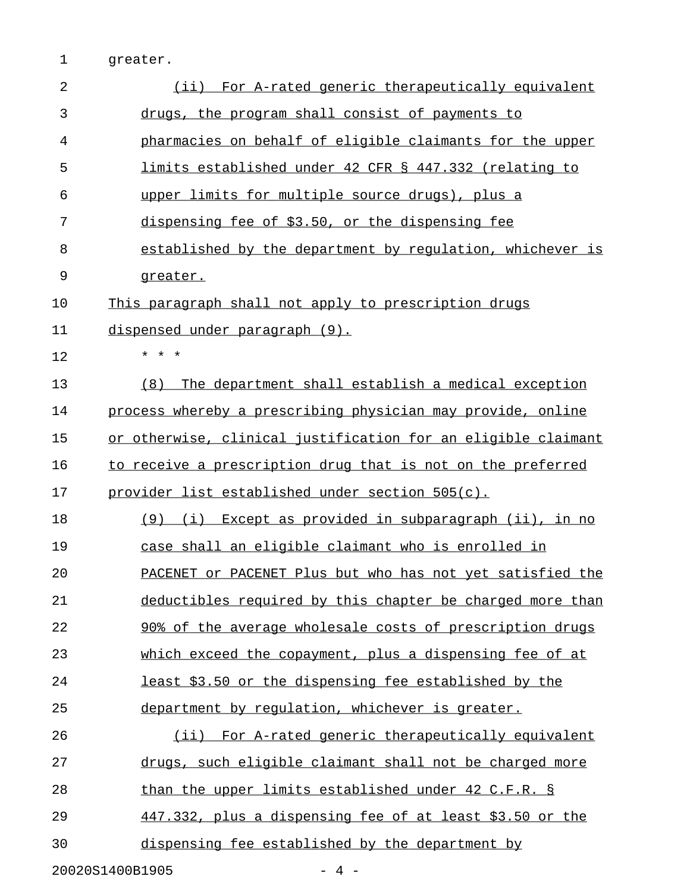1 greater.

| $\overline{2}$ | (ii) For A-rated generic therapeutically equivalent           |
|----------------|---------------------------------------------------------------|
| 3              | drugs, the program shall consist of payments to               |
| 4              | pharmacies on behalf of eligible claimants for the upper      |
| 5              | limits established under 42 CFR § 447.332 (relating to        |
| 6              | upper limits for multiple source drugs), plus a               |
| 7              | dispensing fee of \$3.50, or the dispensing fee               |
| 8              | established by the department by regulation, whichever is     |
| 9              | greater.                                                      |
| 10             | This paragraph shall not apply to prescription drugs          |
| 11             | dispensed under paragraph (9).                                |
| 12             | * * *                                                         |
| 13             | The department shall establish a medical exception<br>(8)     |
| 14             | process whereby a prescribing physician may provide, online   |
| 15             | or otherwise, clinical justification for an eligible claimant |
| 16             | to receive a prescription drug that is not on the preferred   |
| 17             | <u>provider list established under section 505(c).</u>        |
| 18             | (9) (i) Except as provided in subparagraph (ii), in no        |
| 19             | case shall an eligible claimant who is enrolled in            |
| 20             | PACENET or PACENET Plus but who has not yet satisfied the     |
| 21             | deductibles required by this chapter be charged more than     |
| 22             | 90% of the average wholesale costs of prescription drugs      |
| 23             | which exceed the copayment, plus a dispensing fee of at       |
| 24             | least \$3.50 or the dispensing fee established by the         |
| 25             | department by regulation, whichever is greater.               |
| 26             | (ii) For A-rated generic therapeutically equivalent           |
| 27             | drugs, such eligible claimant shall not be charged more       |
| 28             | than the upper limits established under 42 C.F.R. §           |
| 29             | 447.332, plus a dispensing fee of at least \$3.50 or the      |
| 30             | dispensing fee established by the department by               |
|                | 20020S1400B1905<br>4 –                                        |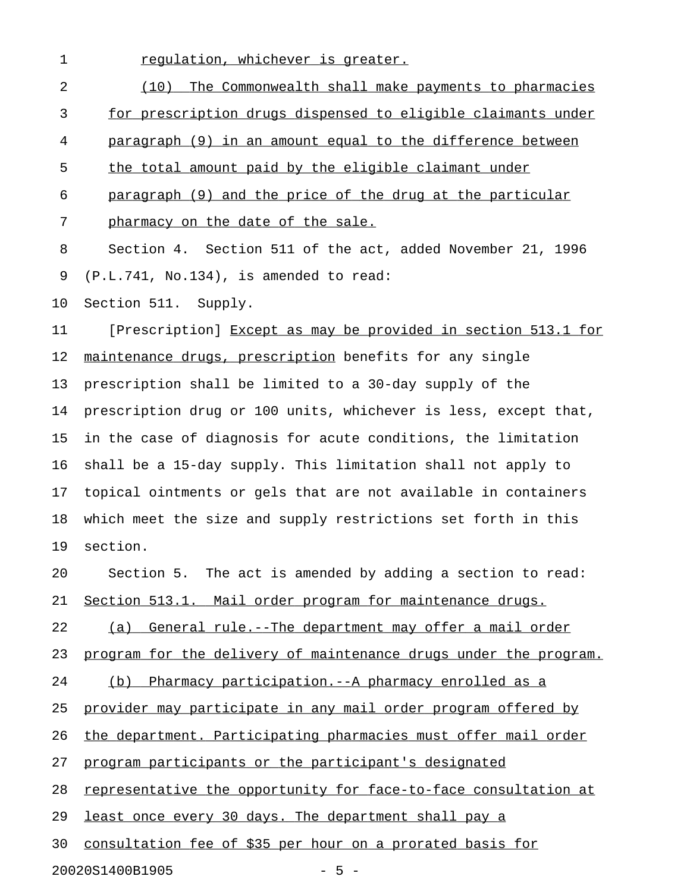1 regulation, whichever is greater.

| $\overline{2}$ | (10) The Commonwealth shall make payments to pharmacies          |
|----------------|------------------------------------------------------------------|
| 3              | for prescription drugs dispensed to eligible claimants under     |
| 4              | paragraph (9) in an amount equal to the difference between       |
| 5              | the total amount paid by the eligible claimant under             |
| 6              | paragraph (9) and the price of the drug at the particular        |
| 7              | pharmacy on the date of the sale.                                |
| 8              | Section 4. Section 511 of the act, added November 21, 1996       |
| 9              | $(P.L.741, No.134)$ , is amended to read:                        |
| 10             | Section 511. Supply.                                             |
| 11             | [Prescription] Except as may be provided in section 513.1 for    |
| 12             | maintenance drugs, prescription benefits for any single          |
| 13             | prescription shall be limited to a 30-day supply of the          |
| 14             | prescription drug or 100 units, whichever is less, except that,  |
| 15             | in the case of diagnosis for acute conditions, the limitation    |
| 16             | shall be a 15-day supply. This limitation shall not apply to     |
| 17             | topical ointments or gels that are not available in containers   |
| 18             | which meet the size and supply restrictions set forth in this    |
| 19             | section.                                                         |
| 20             | Section 5. The act is amended by adding a section to read:       |
| 21             | Section 513.1. Mail order program for maintenance drugs.         |
| 22             | General rule.--The department may offer a mail order<br>(a)      |
| 23             | program for the delivery of maintenance drugs under the program. |
| 24             | (b) Pharmacy participation. -- A pharmacy enrolled as a          |
| 25             | provider may participate in any mail order program offered by    |
| 26             | the department. Participating pharmacies must offer mail order   |
| 27             | program participants or the participant's designated             |
| 28             | representative the opportunity for face-to-face consultation at  |
| 29             | least once every 30 days. The department shall pay a             |
| 30             | consultation fee of \$35 per hour on a prorated basis for        |
|                | 20020S1400B1905<br>$-5 -$                                        |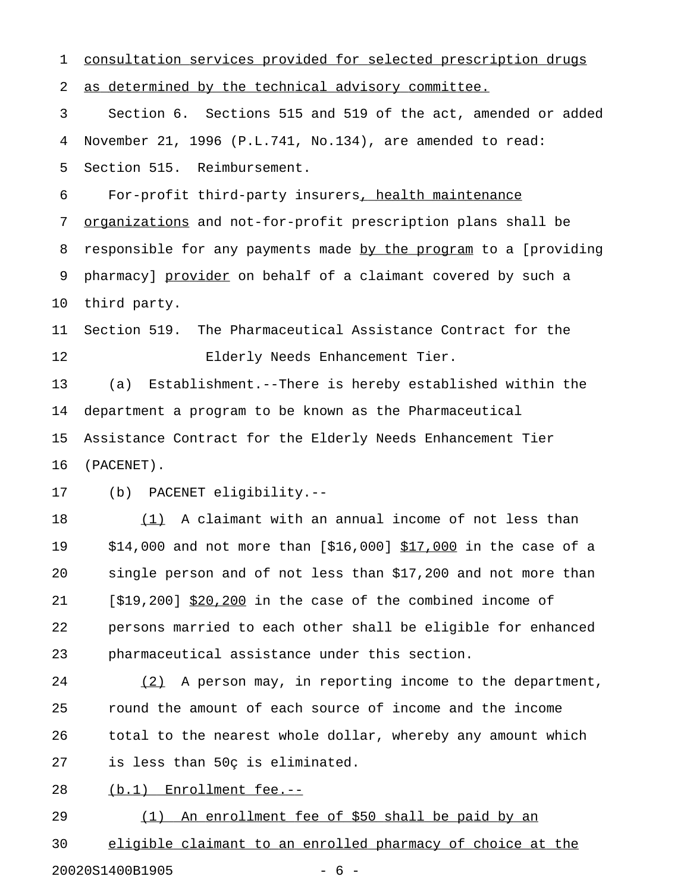1 consultation services provided for selected prescription drugs 2 as determined by the technical advisory committee. 3 Section 6. Sections 515 and 519 of the act, amended or added 4 November 21, 1996 (P.L.741, No.134), are amended to read: 5 Section 515. Reimbursement. 6 For-profit third-party insurers, health maintenance 7 organizations and not-for-profit prescription plans shall be 8 responsible for any payments made by the program to a [providing 9 pharmacy] provider on behalf of a claimant covered by such a 10 third party. 11 Section 519. The Pharmaceutical Assistance Contract for the 12 Elderly Needs Enhancement Tier. 13 (a) Establishment.--There is hereby established within the 14 department a program to be known as the Pharmaceutical 15 Assistance Contract for the Elderly Needs Enhancement Tier 16 (PACENET). 17 (b) PACENET eligibility.-- 18 (1) A claimant with an annual income of not less than 19 \$14,000 and not more than [\$16,000] \$17,000 in the case of a 20 single person and of not less than \$17,200 and not more than 21  $[519,200]$  \$20,200 in the case of the combined income of 22 persons married to each other shall be eligible for enhanced 23 pharmaceutical assistance under this section. 24 (2) A person may, in reporting income to the department, 25 round the amount of each source of income and the income 26 total to the nearest whole dollar, whereby any amount which 27 is less than 50ç is eliminated. 28 (b.1) Enrollment fee.--29 (1) An enrollment fee of \$50 shall be paid by an

30 eligible claimant to an enrolled pharmacy of choice at the 20020S1400B1905 - 6 -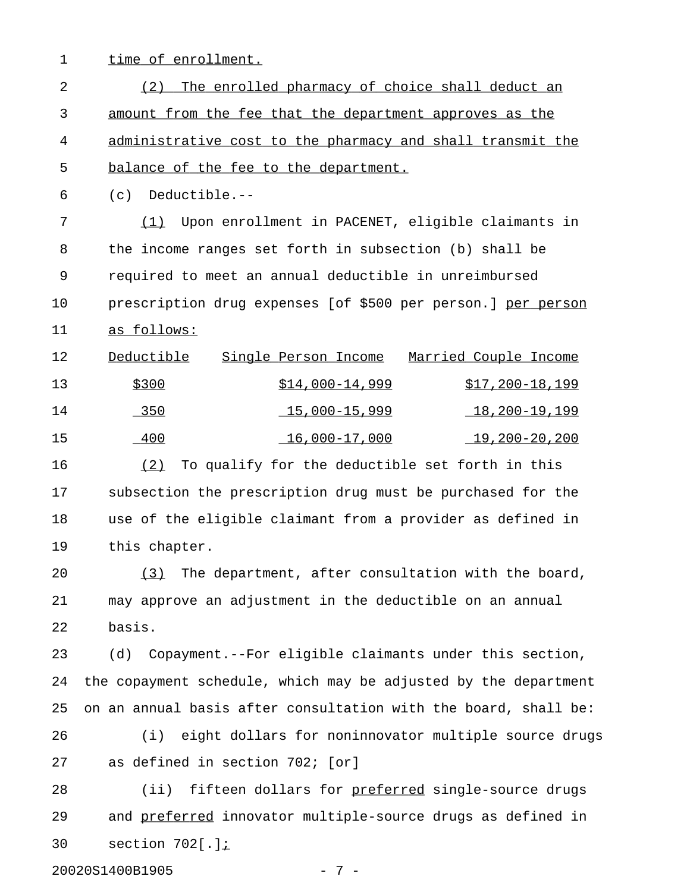- 
- 1 time of enrollment.

2 (2) The enrolled pharmacy of choice shall deduct an 3 amount from the fee that the department approves as the 4 administrative cost to the pharmacy and shall transmit the 5 balance of the fee to the department.

6 (c) Deductible.--

7 (1) Upon enrollment in PACENET, eligible claimants in 8 the income ranges set forth in subsection (b) shall be 9 required to meet an annual deductible in unreimbursed 10 prescription drug expenses [of \$500 per person.] per person 11 as follows:

| 12  | Deductible | Single Person Income | Married Couple Income |
|-----|------------|----------------------|-----------------------|
| 13  | \$300      | $$14,000-14,999$     | $$17,200-18,199$      |
| 14  | 350        | 15,000-15,999        | <u>18,200–19,199</u>  |
| -15 | 400        | 16,000-17,000        | 19,200-20,200         |

16 (2) To qualify for the deductible set forth in this 17 subsection the prescription drug must be purchased for the 18 use of the eligible claimant from a provider as defined in 19 this chapter.

20  $(3)$  The department, after consultation with the board, 21 may approve an adjustment in the deductible on an annual 22 basis.

23 (d) Copayment.--For eligible claimants under this section, 24 the copayment schedule, which may be adjusted by the department 25 on an annual basis after consultation with the board, shall be:

26 (i) eight dollars for noninnovator multiple source drugs 27 as defined in section 702; [or]

28 (ii) fifteen dollars for preferred single-source drugs 29 and preferred innovator multiple-source drugs as defined in 30 section 702[.];\_

20020S1400B1905 - 7 -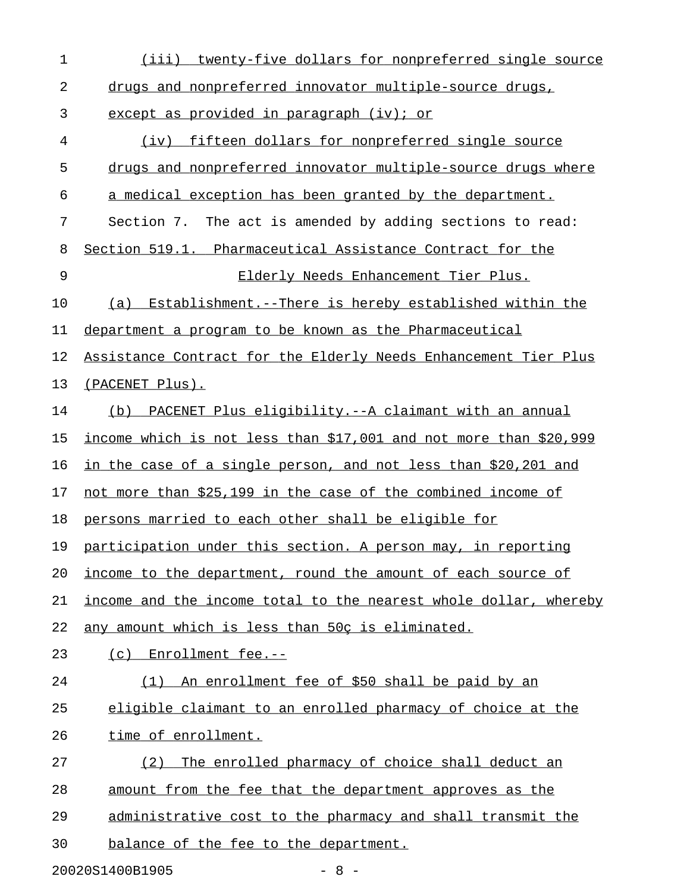| $\mathbf 1$ | (iii)<br>twenty-five dollars for nonpreferred single source       |
|-------------|-------------------------------------------------------------------|
| 2           | drugs and nonpreferred innovator multiple-source drugs,           |
| 3           | except as provided in paragraph (iv); or                          |
| 4           | (iv) fifteen dollars for nonpreferred single source               |
| 5           | drugs and nonpreferred innovator multiple-source drugs where      |
| 6           | a medical exception has been granted by the department.           |
| 7           | Section 7. The act is amended by adding sections to read:         |
| 8           | Section 519.1. Pharmaceutical Assistance Contract for the         |
| 9           | Elderly Needs Enhancement Tier Plus.                              |
| 10          | (a) Establishment.--There is hereby established within the        |
| 11          | department a program to be known as the Pharmaceutical            |
| 12          | Assistance Contract for the Elderly Needs Enhancement Tier Plus   |
| 13          | (PACENET Plus).                                                   |
| 14          | (b) PACENET Plus eligibility.--A claimant with an annual          |
| 15          | income which is not less than \$17,001 and not more than \$20,999 |
| 16          | in the case of a single person, and not less than \$20,201 and    |
| 17          | not more than \$25,199 in the case of the combined income of      |
| 18          | persons married to each other shall be eligible for               |
| 19          | participation under this section. A person may, in reporting      |
| 20          | income to the department, round the amount of each source of      |
| 21          | income and the income total to the nearest whole dollar, whereby  |
| 22          | any amount which is less than 50c is eliminated.                  |
| 23          | (c) Enrollment fee.--                                             |
| 24          | An enrollment fee of \$50 shall be paid by an<br>(1)              |
| 25          | eligible claimant to an enrolled pharmacy of choice at the        |
| 26          | time of enrollment.                                               |
| 27          | (2)<br>The enrolled pharmacy of choice shall deduct an            |
| 28          | amount from the fee that the department approves as the           |
| 29          | administrative cost to the pharmacy and shall transmit the        |
| 30          | balance of the fee to the department.                             |
|             |                                                                   |

20020S1400B1905 - 8 -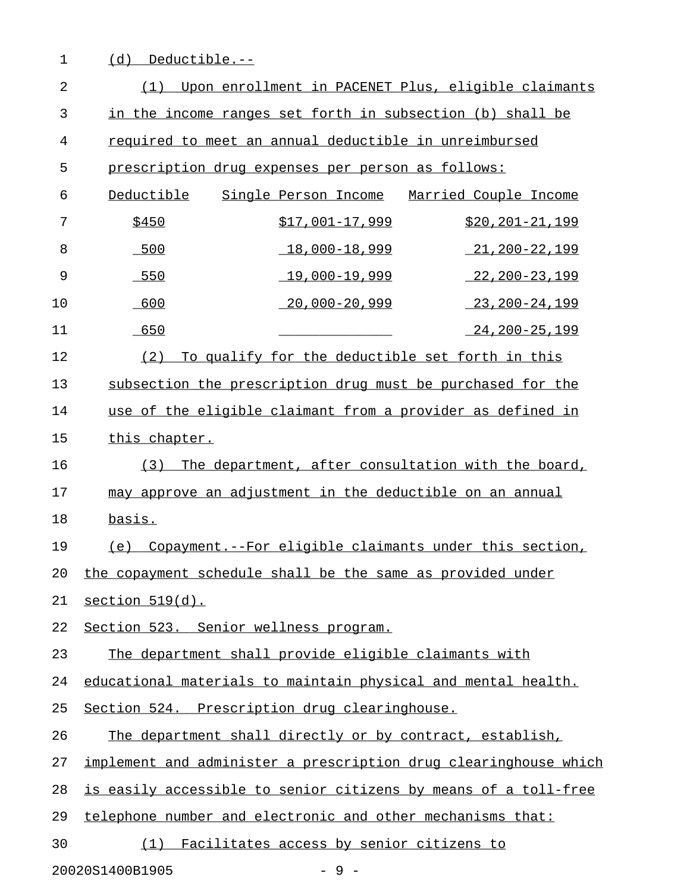| $\mathbf 1$    | Deductible.--<br>(d)                                             |
|----------------|------------------------------------------------------------------|
| $\overline{2}$ | Upon enrollment in PACENET Plus, eligible claimants<br>(1)       |
| 3              | in the income ranges set forth in subsection (b) shall be        |
| 4              | required to meet an annual deductible in unreimbursed            |
| 5              | prescription drug expenses per person as follows:                |
| 6              | Deductible<br>Single Person Income<br>Married Couple Income      |
| 7              | \$450<br>$$17,001-17,999$<br>$$20, 201 - 21, 199$                |
| 8              | $18,000 - 18,999$<br>$-500$<br>21,200-22,199                     |
| 9              | $19,000 - 19,999$<br>$-550$<br>22,200-23,199                     |
| 10             | $20,000 - 20,999$<br>600<br>23,200-24,199                        |
| 11             | 650<br>24,200-25,199                                             |
| 12             | To qualify for the deductible set forth in this<br>(2)           |
| 13             | subsection the prescription drug must be purchased for the       |
| 14             | use of the eligible claimant from a provider as defined in       |
| 15             | this chapter.                                                    |
| 16             | The department, after consultation with the board,<br>(3)        |
| 17             | may approve an adjustment in the deductible on an annual         |
| 18             | basis.                                                           |
| 19             | Copayment. -- For eligible claimants under this section,<br>(e)  |
| 20             | the copayment schedule shall be the same as provided under       |
| 21             | section $519(d)$ .                                               |
| 22             | Section 523. Senior wellness program.                            |
| 23             | The department shall provide eligible claimants with             |
| 24             | educational materials to maintain physical and mental health.    |
| 25             | Section 524. Prescription drug clearinghouse.                    |
| 26             | The department shall directly or by contract, establish,         |
| 27             | implement and administer a prescription drug clearinghouse which |
| 28             | is easily accessible to senior citizens by means of a toll-free  |
| 29             | telephone number and electronic and other mechanisms that:       |
| 30             | Facilitates access by senior citizens to<br>(1)                  |

20020S1400B1905 - 9 -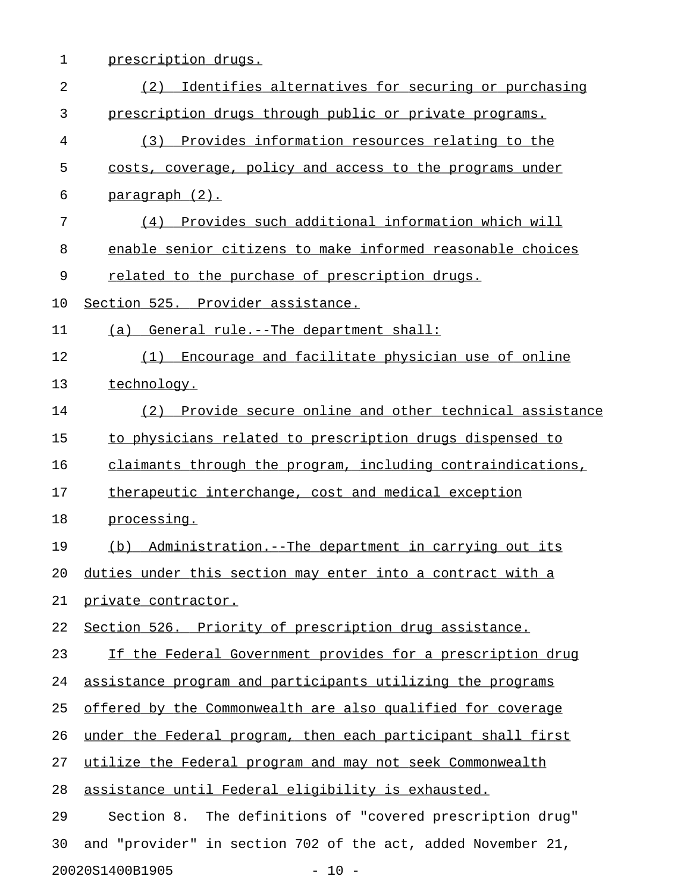1 prescription drugs.

| $\overline{a}$ | (2)<br>Identifies alternatives for securing or purchasing    |
|----------------|--------------------------------------------------------------|
| 3              | prescription drugs through public or private programs.       |
| 4              | Provides information resources relating to the<br>(3)        |
| 5              | costs, coverage, policy and access to the programs under     |
| 6              | paragraph (2).                                               |
| 7              | (4) Provides such additional information which will          |
| 8              | enable senior citizens to make informed reasonable choices   |
| 9              | related to the purchase of prescription drugs.               |
| 10             | Section 525. Provider assistance.                            |
| 11             | (a) General rule.--The department shall:                     |
| 12             | Encourage and facilitate physician use of online<br>(1)      |
| 13             | technology.                                                  |
| 14             | (2) Provide secure online and other technical assistance     |
| 15             | to physicians related to prescription drugs dispensed to     |
| 16             | claimants through the program, including contraindications,  |
| 17             | therapeutic interchange, cost and medical exception          |
| 18             | processing.                                                  |
| 19             | (b) Administration.--The department in carrying out its      |
| 20             | duties under this section may enter into a contract with a   |
| 21             | private contractor.                                          |
| 22             | Section 526. Priority of prescription drug assistance.       |
| 23             | If the Federal Government provides for a prescription drug   |
| 24             | assistance program and participants utilizing the programs   |
| 25             | offered by the Commonwealth are also qualified for coverage  |
| 26             | under the Federal program, then each participant shall first |
| 27             | utilize the Federal program and may not seek Commonwealth    |
| 28             | assistance until Federal eligibility is exhausted.           |
| 29             | Section 8. The definitions of "covered prescription drug"    |
| 30             | and "provider" in section 702 of the act, added November 21, |
|                | 20020S1400B1905<br>$-10 -$                                   |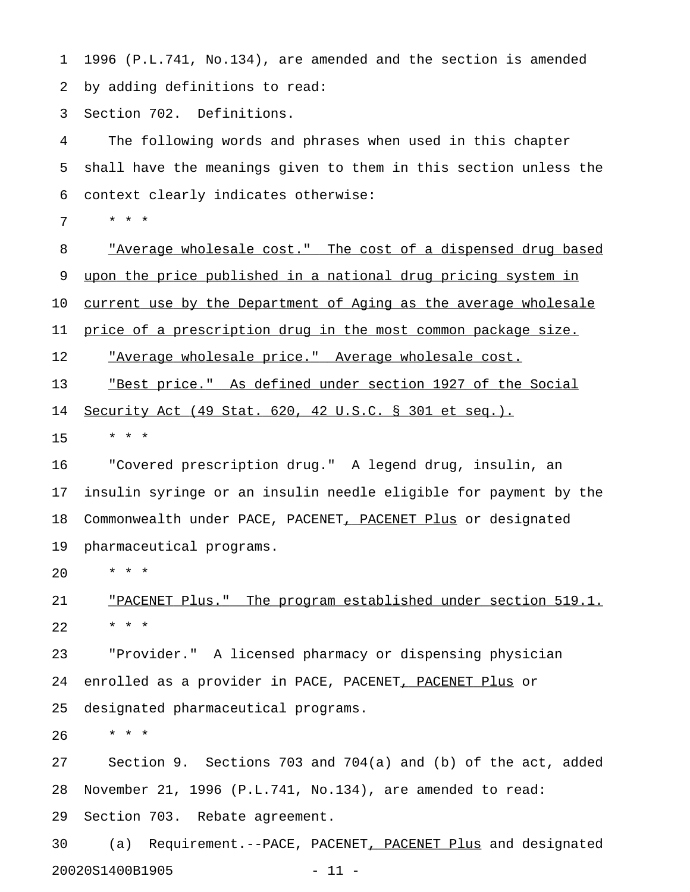1 1996 (P.L.741, No.134), are amended and the section is amended 2 by adding definitions to read:

3 Section 702. Definitions.

4 The following words and phrases when used in this chapter 5 shall have the meanings given to them in this section unless the 6 context clearly indicates otherwise:

7 \* \* \*

8 "Average wholesale cost." The cost of a dispensed drug based 9 upon the price published in a national drug pricing system in 10 current use by the Department of Aging as the average wholesale 11 price of a prescription drug in the most common package size. 12 "Average wholesale price." Average wholesale cost. \_\_\_\_\_\_\_\_\_\_\_\_\_\_\_\_\_\_\_\_\_\_\_\_\_\_\_\_\_\_\_\_\_\_\_\_\_\_\_\_\_\_\_\_\_\_\_\_\_\_\_

13 The <u>"Best price."</u> As defined under section 1927 of the Social

14 Security Act (49 Stat. 620, 42 U.S.C. § 301 et seq.).

15 \* \* \*

16 "Covered prescription drug." A legend drug, insulin, an 17 insulin syringe or an insulin needle eligible for payment by the 18 Commonwealth under PACE, PACENET, PACENET Plus or designated 19 pharmaceutical programs.

20 \* \* \*

21 TPACENET Plus." The program established under section 519.1. 22 \* \* \*

23 "Provider." A licensed pharmacy or dispensing physician 24 enrolled as a provider in PACE, PACENET, PACENET Plus or 25 designated pharmaceutical programs.

26 \* \* \*

27 Section 9. Sections 703 and 704(a) and (b) of the act, added 28 November 21, 1996 (P.L.741, No.134), are amended to read: 29 Section 703. Rebate agreement.

30 (a) Requirement.--PACE, PACENET, PACENET Plus and designated 20020S1400B1905 - 11 -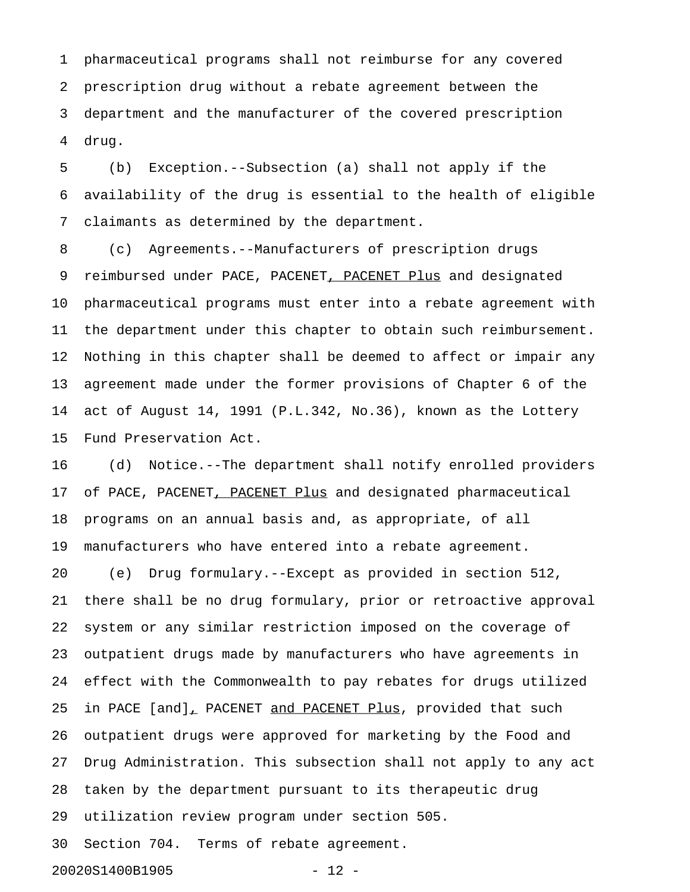1 pharmaceutical programs shall not reimburse for any covered 2 prescription drug without a rebate agreement between the 3 department and the manufacturer of the covered prescription 4 drug.

5 (b) Exception.--Subsection (a) shall not apply if the 6 availability of the drug is essential to the health of eligible 7 claimants as determined by the department.

8 (c) Agreements.--Manufacturers of prescription drugs 9 reimbursed under PACE, PACENET, PACENET Plus and designated 10 pharmaceutical programs must enter into a rebate agreement with 11 the department under this chapter to obtain such reimbursement. 12 Nothing in this chapter shall be deemed to affect or impair any 13 agreement made under the former provisions of Chapter 6 of the 14 act of August 14, 1991 (P.L.342, No.36), known as the Lottery 15 Fund Preservation Act.

16 (d) Notice.--The department shall notify enrolled providers 17 of PACE, PACENET, PACENET Plus and designated pharmaceutical 18 programs on an annual basis and, as appropriate, of all 19 manufacturers who have entered into a rebate agreement.

20 (e) Drug formulary.--Except as provided in section 512, 21 there shall be no drug formulary, prior or retroactive approval 22 system or any similar restriction imposed on the coverage of 23 outpatient drugs made by manufacturers who have agreements in 24 effect with the Commonwealth to pay rebates for drugs utilized 25 in PACE [and], PACENET and PACENET Plus, provided that such 26 outpatient drugs were approved for marketing by the Food and 27 Drug Administration. This subsection shall not apply to any act 28 taken by the department pursuant to its therapeutic drug 29 utilization review program under section 505. 30 Section 704. Terms of rebate agreement.

20020S1400B1905 - 12 -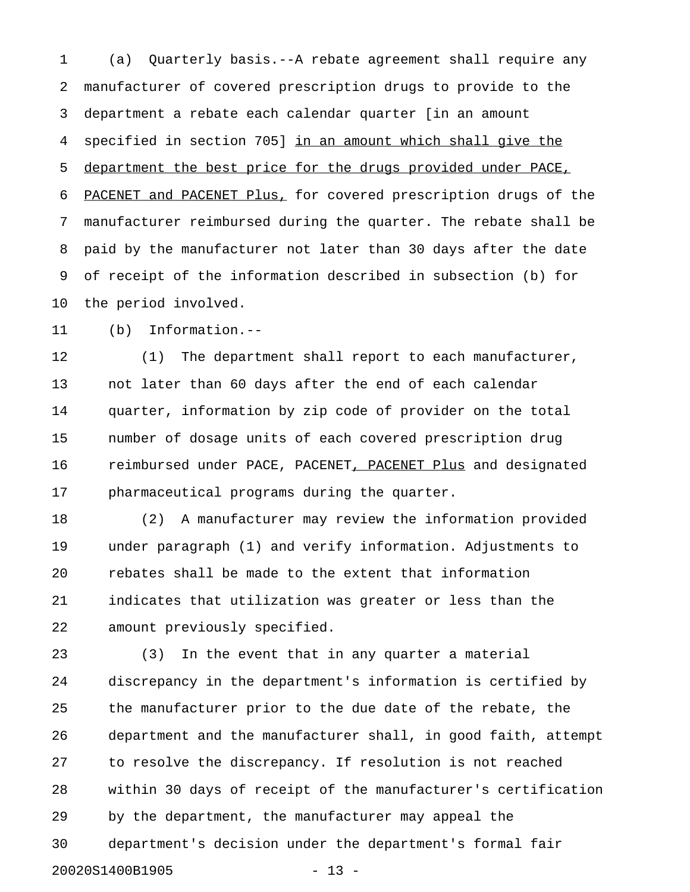1 (a) Quarterly basis.--A rebate agreement shall require any 2 manufacturer of covered prescription drugs to provide to the 3 department a rebate each calendar quarter [in an amount 4 specified in section 705] in an amount which shall give the 5 department the best price for the drugs provided under PACE, 6 PACENET and PACENET Plus, for covered prescription drugs of the 7 manufacturer reimbursed during the quarter. The rebate shall be 8 paid by the manufacturer not later than 30 days after the date 9 of receipt of the information described in subsection (b) for 10 the period involved.

11 (b) Information.--

12 (1) The department shall report to each manufacturer, 13 not later than 60 days after the end of each calendar 14 quarter, information by zip code of provider on the total 15 number of dosage units of each covered prescription drug 16 reimbursed under PACE, PACENET, PACENET Plus and designated 17 pharmaceutical programs during the quarter.

18 (2) A manufacturer may review the information provided 19 under paragraph (1) and verify information. Adjustments to 20 rebates shall be made to the extent that information 21 indicates that utilization was greater or less than the 22 amount previously specified.

23 (3) In the event that in any quarter a material 24 discrepancy in the department's information is certified by 25 the manufacturer prior to the due date of the rebate, the 26 department and the manufacturer shall, in good faith, attempt 27 to resolve the discrepancy. If resolution is not reached 28 within 30 days of receipt of the manufacturer's certification 29 by the department, the manufacturer may appeal the 30 department's decision under the department's formal fair 20020S1400B1905 - 13 -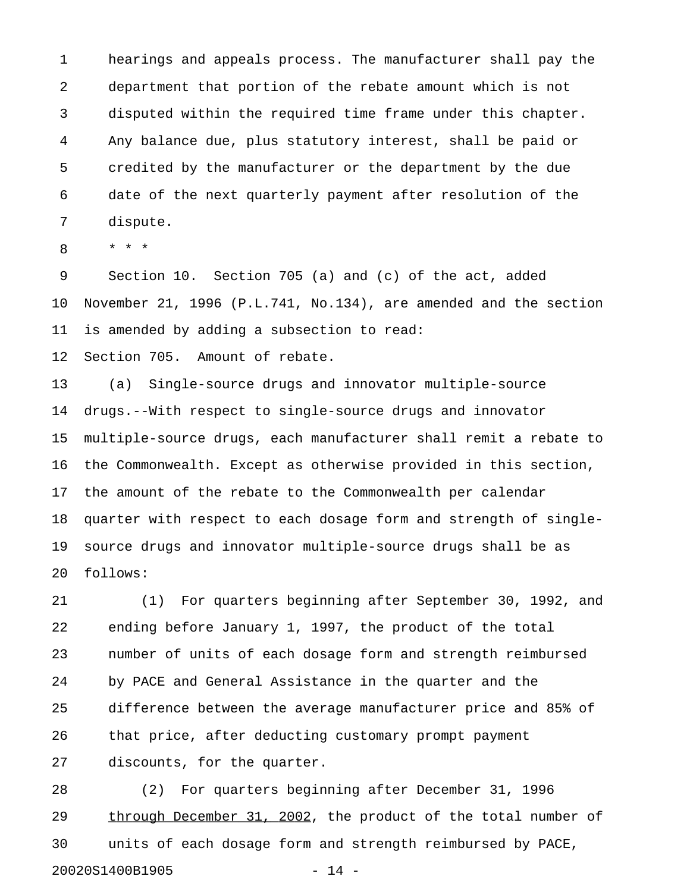1 hearings and appeals process. The manufacturer shall pay the 2 department that portion of the rebate amount which is not 3 disputed within the required time frame under this chapter. 4 Any balance due, plus statutory interest, shall be paid or 5 credited by the manufacturer or the department by the due 6 date of the next quarterly payment after resolution of the 7 dispute.

8 \* \* \*

9 Section 10. Section 705 (a) and (c) of the act, added 10 November 21, 1996 (P.L.741, No.134), are amended and the section 11 is amended by adding a subsection to read:

12 Section 705. Amount of rebate.

13 (a) Single-source drugs and innovator multiple-source 14 drugs.--With respect to single-source drugs and innovator 15 multiple-source drugs, each manufacturer shall remit a rebate to 16 the Commonwealth. Except as otherwise provided in this section, 17 the amount of the rebate to the Commonwealth per calendar 18 quarter with respect to each dosage form and strength of single-19 source drugs and innovator multiple-source drugs shall be as 20 follows:

21 (1) For quarters beginning after September 30, 1992, and 22 ending before January 1, 1997, the product of the total 23 number of units of each dosage form and strength reimbursed 24 by PACE and General Assistance in the quarter and the 25 difference between the average manufacturer price and 85% of 26 that price, after deducting customary prompt payment 27 discounts, for the quarter.

28 (2) For quarters beginning after December 31, 1996 29 through December 31, 2002, the product of the total number of 30 units of each dosage form and strength reimbursed by PACE, 20020S1400B1905 - 14 -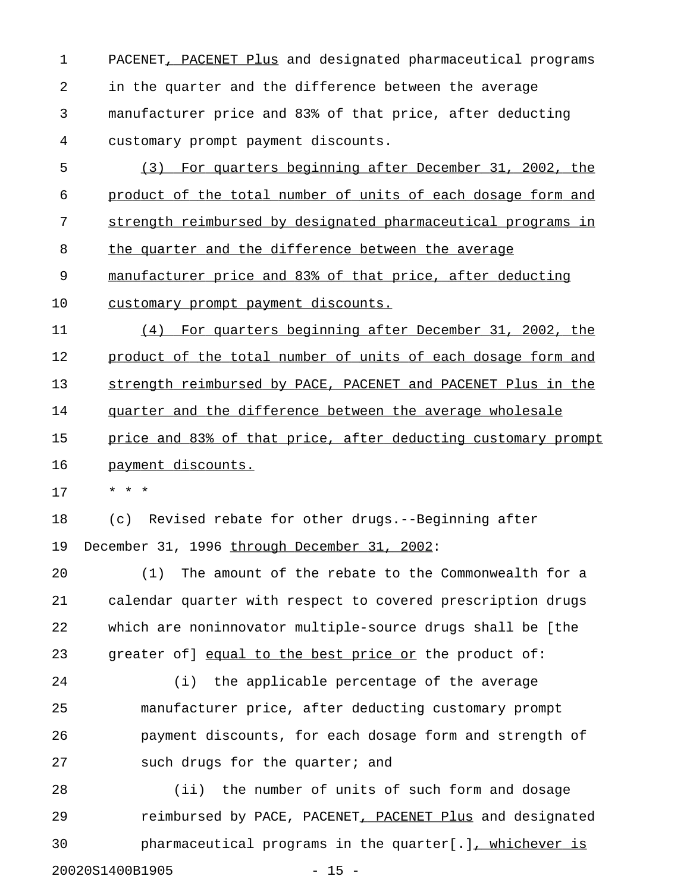1 PACENET, PACENET Plus and designated pharmaceutical programs 2 in the quarter and the difference between the average 3 manufacturer price and 83% of that price, after deducting 4 customary prompt payment discounts.

5 (3) For quarters beginning after December 31, 2002, the 6 product of the total number of units of each dosage form and 7 strength reimbursed by designated pharmaceutical programs in 8 the quarter and the difference between the average 9 manufacturer price and 83% of that price, after deducting 10 customary prompt payment discounts.

11 (4) For quarters beginning after December 31, 2002, the 12 product of the total number of units of each dosage form and 13 strength reimbursed by PACE, PACENET and PACENET Plus in the 14 quarter and the difference between the average wholesale 15 price and 83% of that price, after deducting customary prompt 16 payment discounts.

17 \* \* \*

18 (c) Revised rebate for other drugs.--Beginning after 19 December 31, 1996 through December 31, 2002:

20 (1) The amount of the rebate to the Commonwealth for a 21 calendar quarter with respect to covered prescription drugs 22 which are noninnovator multiple-source drugs shall be [the 23 greater of] equal to the best price or the product of:

24 (i) the applicable percentage of the average 25 manufacturer price, after deducting customary prompt 26 payment discounts, for each dosage form and strength of 27 such drugs for the quarter; and

28 (ii) the number of units of such form and dosage 29 reimbursed by PACE, PACENET, PACENET Plus and designated 30 pharmaceutical programs in the quarter[.], whichever is 20020S1400B1905 - 15 -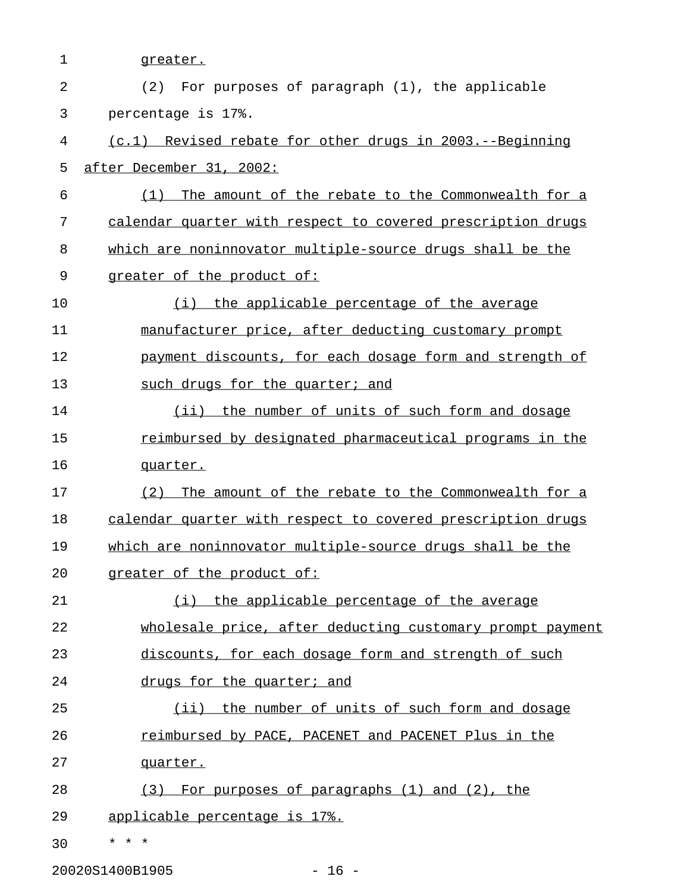| 1              | greater.                                                    |
|----------------|-------------------------------------------------------------|
| $\overline{a}$ | (2)<br>For purposes of paragraph (1), the applicable        |
| 3              | percentage is 17%.                                          |
| 4              | (c.1) Revised rebate for other drugs in 2003.--Beginning    |
| 5              | after December 31, 2002:                                    |
| 6              | (1)<br>The amount of the rebate to the Commonwealth for a   |
| 7              | calendar quarter with respect to covered prescription drugs |
| 8              | which are noninnovator multiple-source drugs shall be the   |
| 9              | greater of the product of:                                  |
| 10             | (i) the applicable percentage of the average                |
| 11             | manufacturer price, after deducting customary prompt        |
| 12             | payment discounts, for each dosage form and strength of     |
| 13             | such drugs for the quarter; and                             |
| 14             | (ii) the number of units of such form and dosage            |
| 15             | reimbursed by designated pharmaceutical programs in the     |
| 16             | quarter.                                                    |
| 17             | (2)<br>The amount of the rebate to the Commonwealth for a   |
| 18             | calendar quarter with respect to covered prescription drugs |
| 19             | which are noninnovator multiple-source drugs shall be the   |
| 20             | greater of the product of:                                  |
| 21             | (i) the applicable percentage of the average                |
| 22             | wholesale price, after deducting customary prompt payment   |
| 23             | discounts, for each dosage form and strength of such        |
| 24             | drugs for the quarter; and                                  |
| 25             | (ii) the number of units of such form and dosage            |
| 26             | reimbursed by PACE, PACENET and PACENET Plus in the         |
| 27             | quarter.                                                    |
| 28             | (3) For purposes of paragraphs (1) and (2), the             |
| 29             | applicable percentage is 17%.                               |
| 30             | $\star$ $\star$ $\star$                                     |
|                | 20020S1400B1905<br>$-16 -$                                  |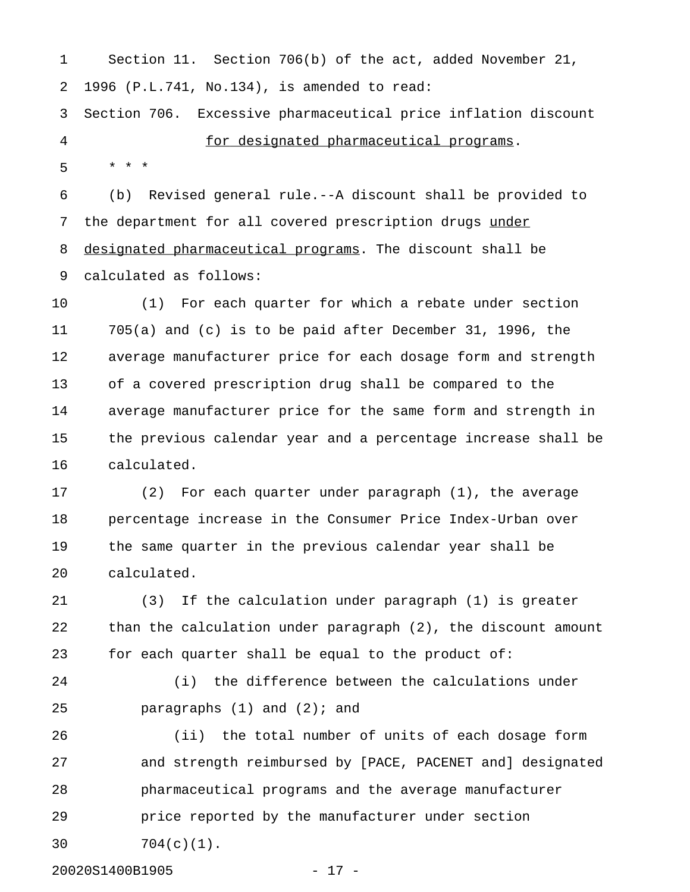1 Section 11. Section 706(b) of the act, added November 21, 2 1996 (P.L.741, No.134), is amended to read: 3 Section 706. Excessive pharmaceutical price inflation discount

4 for designated pharmaceutical programs.

5 \* \* \*

6 (b) Revised general rule.--A discount shall be provided to 7 the department for all covered prescription drugs under 8 designated pharmaceutical programs. The discount shall be 9 calculated as follows:

10 (1) For each quarter for which a rebate under section 11 705(a) and (c) is to be paid after December 31, 1996, the 12 average manufacturer price for each dosage form and strength 13 of a covered prescription drug shall be compared to the 14 average manufacturer price for the same form and strength in 15 the previous calendar year and a percentage increase shall be 16 calculated.

17 (2) For each quarter under paragraph (1), the average 18 percentage increase in the Consumer Price Index-Urban over 19 the same quarter in the previous calendar year shall be 20 calculated.

21 (3) If the calculation under paragraph (1) is greater 22 than the calculation under paragraph (2), the discount amount 23 for each quarter shall be equal to the product of:

24 (i) the difference between the calculations under 25 paragraphs (1) and (2); and

26 (ii) the total number of units of each dosage form 27 and strength reimbursed by [PACE, PACENET and] designated 28 pharmaceutical programs and the average manufacturer 29 price reported by the manufacturer under section 30 704(c)(1).

20020S1400B1905 - 17 -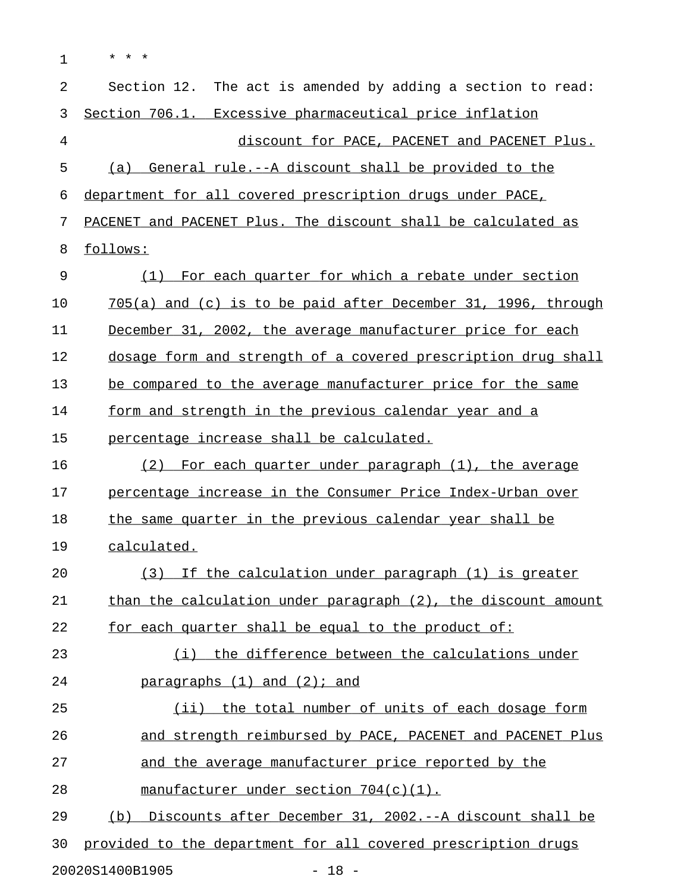| 1  | $^\star$<br>$^\star$                                            |
|----|-----------------------------------------------------------------|
| 2  | Section 12. The act is amended by adding a section to read:     |
| 3  | Section 706.1. Excessive pharmaceutical price inflation         |
| 4  | discount for PACE, PACENET and PACENET Plus.                    |
| 5  | General rule.--A discount shall be provided to the<br>(a)       |
| 6  | department for all covered prescription drugs under PACE,       |
| 7  | PACENET and PACENET Plus. The discount shall be calculated as   |
| 8  | follows:                                                        |
| 9  | For each quarter for which a rebate under section<br>(1)        |
| 10 | $705(a)$ and (c) is to be paid after December 31, 1996, through |
| 11 | December 31, 2002, the average manufacturer price for each      |
| 12 | dosage form and strength of a covered prescription drug shall   |
| 13 | be compared to the average manufacturer price for the same      |
| 14 | form and strength in the previous calendar year and a           |
| 15 | percentage increase shall be calculated.                        |
| 16 | (2) For each quarter under paragraph (1), the average           |
| 17 | percentage increase in the Consumer Price Index-Urban over      |
| 18 | the same quarter in the previous calendar year shall be         |
| 19 | calculated.                                                     |
| 20 | (3) If the calculation under paragraph (1) is greater           |
| 21 | than the calculation under paragraph (2), the discount amount   |
| 22 | for each quarter shall be equal to the product of:              |
| 23 | the difference between the calculations under<br>( i )          |
| 24 | $\frac{5}{2}$ paragraphs $(1)$ and $(2)$ ; and                  |
| 25 | (ii) the total number of units of each dosage form              |
| 26 | and strength reimbursed by PACE, PACENET and PACENET Plus       |
| 27 | and the average manufacturer price reported by the              |
| 28 | manufacturer under section 704(c)(1).                           |
| 29 | Discounts after December 31, 2002.--A discount shall be<br>(b)  |
| 30 | provided to the department for all covered prescription drugs   |
|    | $-18 -$<br>20020S1400B1905                                      |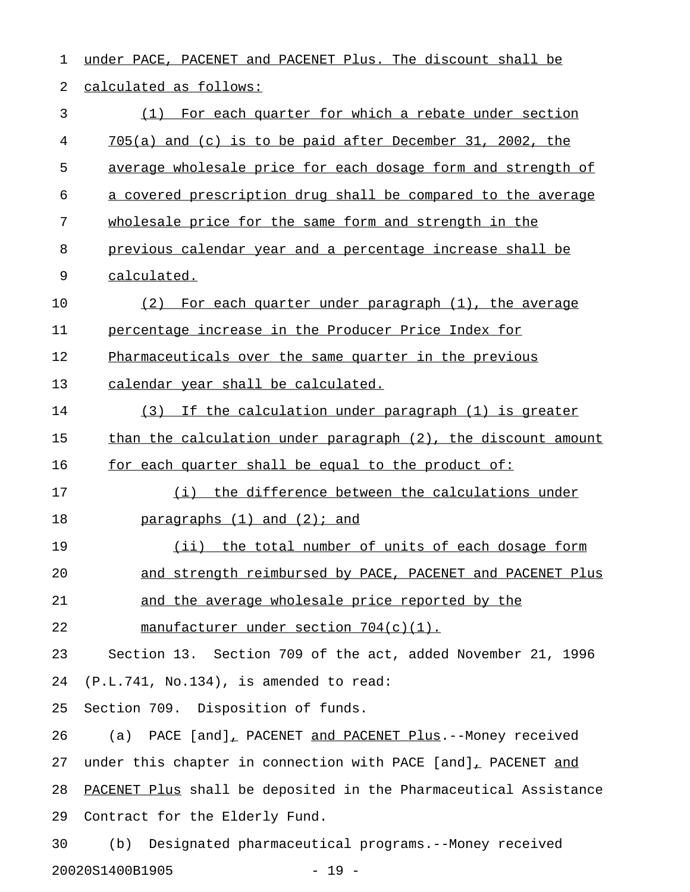1 under PACE, PACENET and PACENET Plus. The discount shall be 2 calculated as follows: 3 (1) For each quarter for which a rebate under section 4 705(a) and (c) is to be paid after December 31, 2002, the 5 average wholesale price for each dosage form and strength of 6 a covered prescription drug shall be compared to the average 7 wholesale price for the same form and strength in the 8 previous calendar year and a percentage increase shall be 9 calculated. 10 (2) For each quarter under paragraph (1), the average 11 percentage increase in the Producer Price Index for 12 Pharmaceuticals over the same quarter in the previous 13 calendar year shall be calculated. 14 (3) If the calculation under paragraph (1) is greater 15 than the calculation under paragraph (2), the discount amount 16 for each quarter shall be equal to the product of: 17 (i) the difference between the calculations under 18 paragraphs  $(1)$  and  $(2)$ ; and 19 (ii) the total number of units of each dosage form 20 and strength reimbursed by PACE, PACENET and PACENET Plus 21 and the average wholesale price reported by the 22 manufacturer under section  $704(c)(1)$ . 23 Section 13. Section 709 of the act, added November 21, 1996 24 (P.L.741, No.134), is amended to read: 25 Section 709. Disposition of funds. 26 (a) PACE [and], PACENET and PACENET Plus.--Money received 27 under this chapter in connection with PACE [and], PACENET and 28 PACENET Plus shall be deposited in the Pharmaceutical Assistance 29 Contract for the Elderly Fund. 30 (b) Designated pharmaceutical programs.--Money received 20020S1400B1905 - 19 -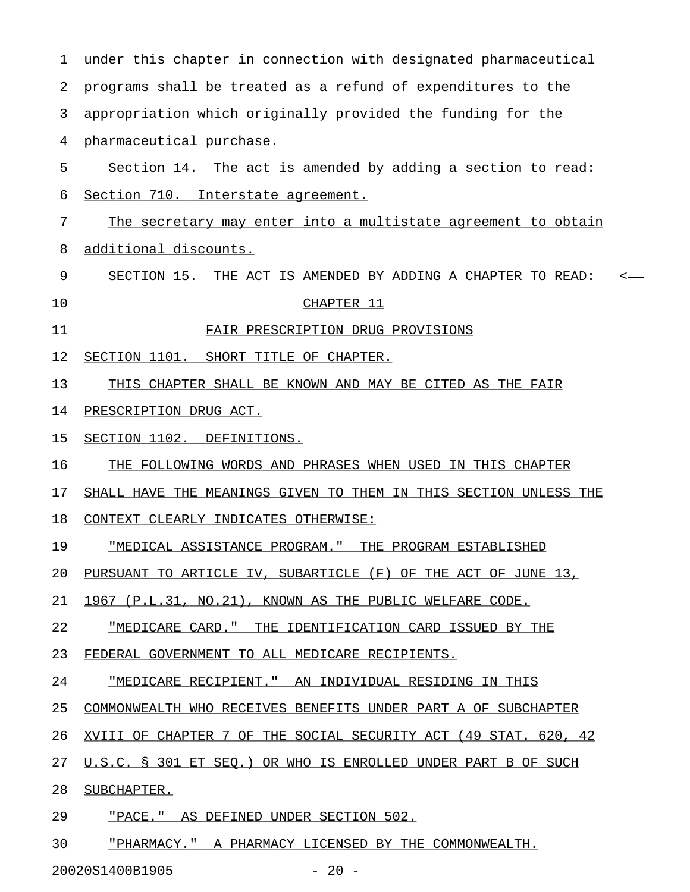| 1  | under this chapter in connection with designated pharmaceutical  |
|----|------------------------------------------------------------------|
| 2  | programs shall be treated as a refund of expenditures to the     |
| 3  | appropriation which originally provided the funding for the      |
| 4  | pharmaceutical purchase.                                         |
| 5  | Section 14. The act is amended by adding a section to read:      |
| 6  | Section 710. Interstate agreement.                               |
| 7  | The secretary may enter into a multistate agreement to obtain    |
| 8  | additional discounts.                                            |
| 9  | SECTION 15. THE ACT IS AMENDED BY ADDING A CHAPTER TO READ:      |
| 10 | CHAPTER 11                                                       |
| 11 | FAIR PRESCRIPTION DRUG PROVISIONS                                |
| 12 | SECTION 1101. SHORT TITLE OF CHAPTER.                            |
| 13 | THIS CHAPTER SHALL BE KNOWN AND MAY BE CITED AS THE FAIR         |
| 14 | PRESCRIPTION DRUG ACT.                                           |
| 15 | SECTION 1102. DEFINITIONS.                                       |
| 16 | THE FOLLOWING WORDS AND PHRASES WHEN USED IN THIS CHAPTER        |
| 17 | SHALL HAVE THE MEANINGS GIVEN TO THEM IN THIS SECTION UNLESS THE |
| 18 | CONTEXT CLEARLY INDICATES OTHERWISE:                             |
| 19 | "MEDICAL ASSISTANCE PROGRAM." THE PROGRAM ESTABLISHED            |
| 20 | PURSUANT TO ARTICLE IV, SUBARTICLE (F) OF THE ACT OF JUNE 13,    |
| 21 | 1967 (P.L.31, NO.21), KNOWN AS THE PUBLIC WELFARE CODE.          |
| 22 | "MEDICARE CARD." THE IDENTIFICATION CARD ISSUED BY THE           |
| 23 | FEDERAL GOVERNMENT TO ALL MEDICARE RECIPIENTS.                   |
| 24 | "MEDICARE RECIPIENT." AN INDIVIDUAL RESIDING IN THIS             |
| 25 | COMMONWEALTH WHO RECEIVES BENEFITS UNDER PART A OF SUBCHAPTER    |
| 26 | XVIII OF CHAPTER 7 OF THE SOCIAL SECURITY ACT (49 STAT. 620, 42  |
| 27 | U.S.C. § 301 ET SEQ.) OR WHO IS ENROLLED UNDER PART B OF SUCH    |
| 28 | SUBCHAPTER.                                                      |
| 29 | "PACE." AS DEFINED UNDER SECTION 502.                            |
| 30 | "PHARMACY." A PHARMACY LICENSED BY THE COMMONWEALTH.             |
|    |                                                                  |

20020S1400B1905 - 20 -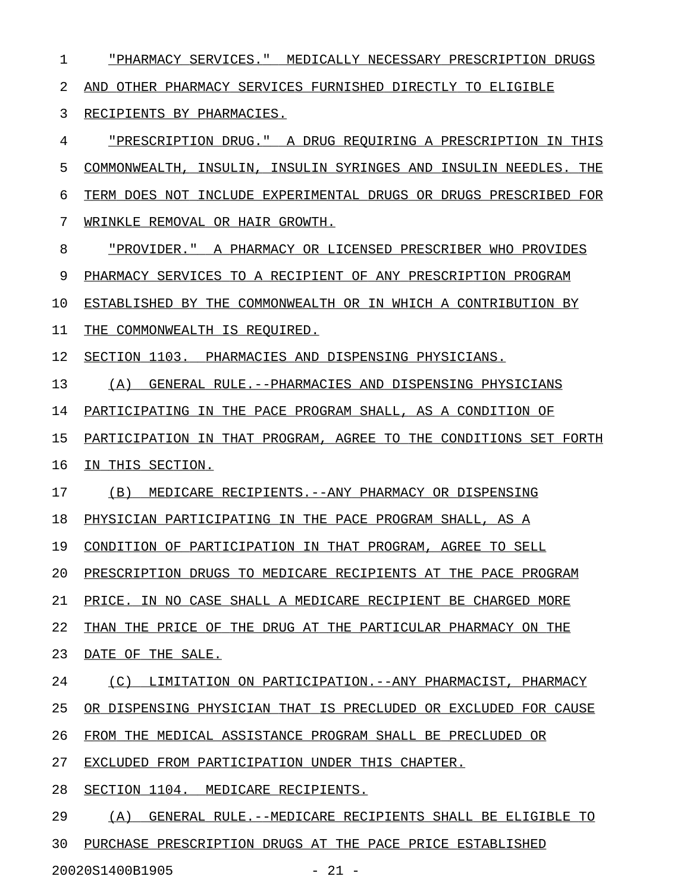1 "PHARMACY SERVICES." MEDICALLY NECESSARY PRESCRIPTION DRUGS \_\_\_\_\_\_\_\_\_\_\_\_\_\_\_\_\_\_\_\_\_\_\_\_\_\_\_\_\_\_\_\_\_\_\_\_\_\_\_\_\_\_\_\_\_\_\_\_\_\_\_\_\_\_\_\_\_\_\_\_ 2 AND OTHER PHARMACY SERVICES FURNISHED DIRECTLY TO ELIGIBLE 3 RECIPIENTS BY PHARMACIES. 4 "PRESCRIPTION DRUG." A DRUG REQUIRING A PRESCRIPTION IN THIS \_\_\_\_\_\_\_\_\_\_\_\_\_\_\_\_\_\_\_\_\_\_\_\_\_\_\_\_\_\_\_\_\_\_\_\_\_\_\_\_\_\_\_\_\_\_\_\_\_\_\_\_\_\_\_\_\_\_\_\_\_ 5 COMMONWEALTH, INSULIN, INSULIN SYRINGES AND INSULIN NEEDLES. THE 6 TERM DOES NOT INCLUDE EXPERIMENTAL DRUGS OR DRUGS PRESCRIBED FOR 7 WRINKLE REMOVAL OR HAIR GROWTH. 8 "PROVIDER." A PHARMACY OR LICENSED PRESCRIBER WHO PROVIDES \_\_\_\_\_\_\_\_\_\_\_\_\_\_\_\_\_\_\_\_\_\_\_\_\_\_\_\_\_\_\_\_\_\_\_\_\_\_\_\_\_\_\_\_\_\_\_\_\_\_\_\_\_\_\_\_\_\_\_ 9 PHARMACY SERVICES TO A RECIPIENT OF ANY PRESCRIPTION PROGRAM 10 ESTABLISHED BY THE COMMONWEALTH OR IN WHICH A CONTRIBUTION BY 11 THE COMMONWEALTH IS REQUIRED. 12 SECTION 1103. PHARMACIES AND DISPENSING PHYSICIANS. 13 (A) GENERAL RULE.--PHARMACIES AND DISPENSING PHYSICIANS 14 PARTICIPATING IN THE PACE PROGRAM SHALL, AS A CONDITION OF 15 PARTICIPATION IN THAT PROGRAM, AGREE TO THE CONDITIONS SET FORTH 16 IN THIS SECTION. 17 (B) MEDICARE RECIPIENTS. -- ANY PHARMACY OR DISPENSING 18 PHYSICIAN PARTICIPATING IN THE PACE PROGRAM SHALL, AS A 19 CONDITION OF PARTICIPATION IN THAT PROGRAM, AGREE TO SELL 20 PRESCRIPTION DRUGS TO MEDICARE RECIPIENTS AT THE PACE PROGRAM 21 PRICE. IN NO CASE SHALL A MEDICARE RECIPIENT BE CHARGED MORE 22 THAN THE PRICE OF THE DRUG AT THE PARTICULAR PHARMACY ON THE 23 DATE OF THE SALE. 24 (C) LIMITATION ON PARTICIPATION.--ANY PHARMACIST, PHARMACY 25 OR DISPENSING PHYSICIAN THAT IS PRECLUDED OR EXCLUDED FOR CAUSE 26 FROM THE MEDICAL ASSISTANCE PROGRAM SHALL BE PRECLUDED OR 27 EXCLUDED FROM PARTICIPATION UNDER THIS CHAPTER. 28 SECTION 1104. MEDICARE RECIPIENTS. 29 (A) GENERAL RULE.--MEDICARE RECIPIENTS SHALL BE ELIGIBLE TO 30 PURCHASE PRESCRIPTION DRUGS AT THE PACE PRICE ESTABLISHED

20020S1400B1905 - 21 -